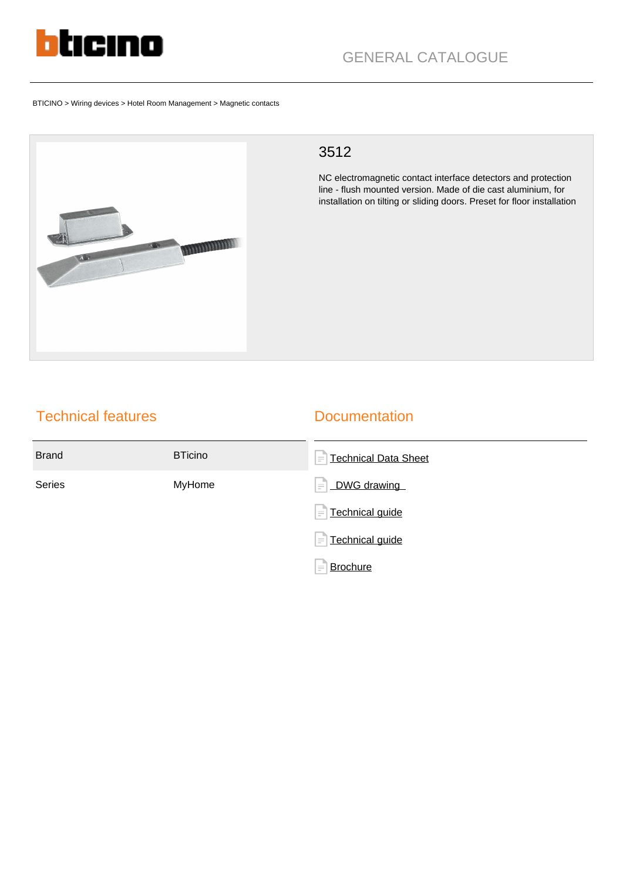

BTICINO > Wiring devices > Hotel Room Management > Magnetic contacts



## 3512

NC electromagnetic contact interface detectors and protection line - flush mounted version. Made of die cast aluminium, for installation on tilting or sliding doors. Preset for floor installation

## Technical features

## **Documentation**

| <b>Brand</b>  | <b>BTicino</b> | <b>Technical Data Sheet</b><br>$\equiv$ |
|---------------|----------------|-----------------------------------------|
| <b>Series</b> | MyHome         | DWG drawing<br>$\equiv$                 |
|               |                | $=$ Technical guide                     |
|               |                | $=$ Technical guide                     |
|               |                | <b>Brochure</b><br>$\equiv$             |
|               |                |                                         |